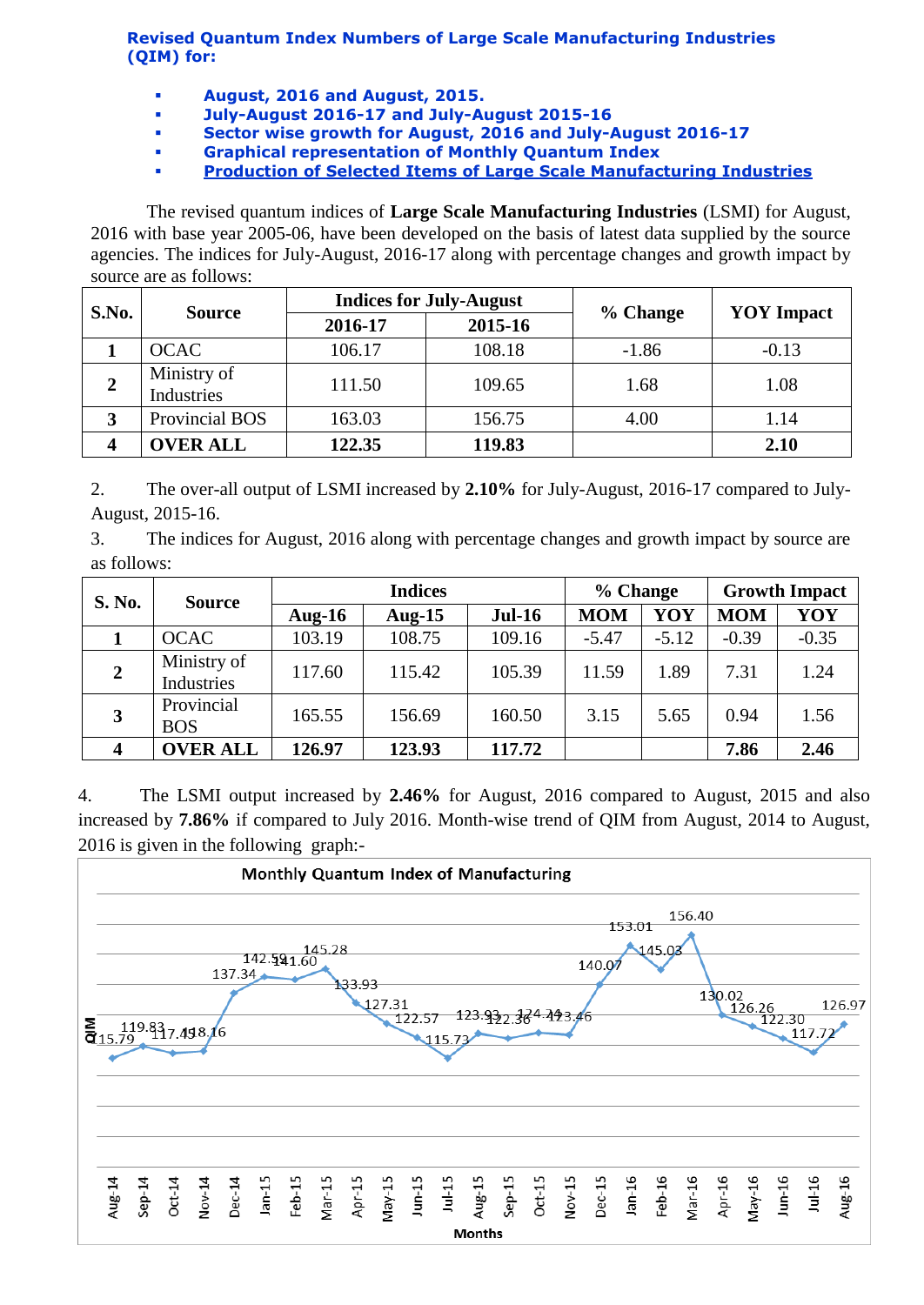**Revised Quantum Index Numbers of Large Scale Manufacturing Industries (QIM) for:**

- **August, 2016 and August, 2015.**
- **July-August 2016-17 and July-August 2015-16**
- **Sector wise growth for August, 2016 and July-August 2016-17**
- **Graphical representation of Monthly Quantum Index**
- **[Production of Selected Items of Large Scale Manufacturing Industries](http://www.statpak.gov.pk/depts/fbs/statistics/qim/qim_details.pdf)**

The revised quantum indices of **Large Scale Manufacturing Industries** (LSMI) for August, 2016 with base year 2005-06, have been developed on the basis of latest data supplied by the source agencies. The indices for July-August, 2016-17 along with percentage changes and growth impact by source are as follows:

| S.No. | <b>Source</b>             |         | <b>Indices for July-August</b> |          |                   |  |
|-------|---------------------------|---------|--------------------------------|----------|-------------------|--|
|       |                           | 2016-17 | 2015-16                        | % Change | <b>YOY</b> Impact |  |
|       | <b>OCAC</b>               | 106.17  | 108.18                         | $-1.86$  | $-0.13$           |  |
| 2     | Ministry of<br>Industries | 111.50  | 109.65                         | 1.68     | 1.08              |  |
|       | Provincial BOS            | 163.03  | 156.75                         | 4.00     | 1.14              |  |
| 4     | <b>OVER ALL</b>           | 122.35  | 119.83                         |          | 2.10              |  |

2. The over-all output of LSMI increased by **2.10%** for July-August, 2016-17 compared to July-August, 2015-16.

3. The indices for August, 2016 along with percentage changes and growth impact by source are as follows:

| S. No.         | <b>Source</b>             | <b>Indices</b> |           |          | % Change   |         | <b>Growth Impact</b> |         |
|----------------|---------------------------|----------------|-----------|----------|------------|---------|----------------------|---------|
|                |                           | Aug- $16$      | Aug- $15$ | $Jul-16$ | <b>MOM</b> | YOY     | <b>MOM</b>           | YOY     |
|                | <b>OCAC</b>               | 103.19         | 108.75    | 109.16   | $-5.47$    | $-5.12$ | $-0.39$              | $-0.35$ |
| $\overline{2}$ | Ministry of<br>Industries | 117.60         | 115.42    | 105.39   | 11.59      | 1.89    | 7.31                 | 1.24    |
| 3              | Provincial<br><b>BOS</b>  | 165.55         | 156.69    | 160.50   | 3.15       | 5.65    | 0.94                 | 1.56    |
|                | <b>OVER ALL</b>           | 126.97         | 123.93    | 117.72   |            |         | 7.86                 | 2.46    |

4. The LSMI output increased by **2.46%** for August, 2016 compared to August, 2015 and also increased by **7.86%** if compared to July 2016. Month-wise trend of QIM from August, 2014 to August, 2016 is given in the following graph:-